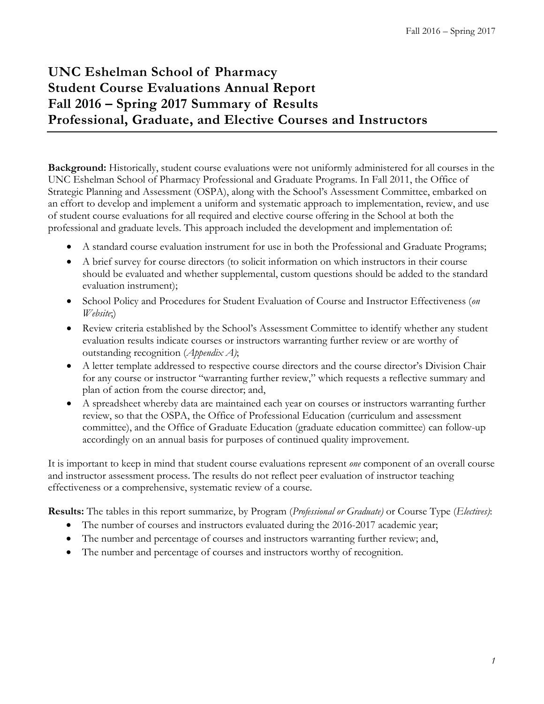# **UNC Eshelman School of Pharmacy Student Course Evaluations Annual Report Fall 2016 – Spring 2017 Summary of Results Professional, Graduate, and Elective Courses and Instructors**

**Background:** Historically, student course evaluations were not uniformly administered for all courses in the UNC Eshelman School of Pharmacy Professional and Graduate Programs. In Fall 2011, the Office of Strategic Planning and Assessment (OSPA), along with the School's Assessment Committee, embarked on an effort to develop and implement a uniform and systematic approach to implementation, review, and use of student course evaluations for all required and elective course offering in the School at both the professional and graduate levels. This approach included the development and implementation of:

- A standard course evaluation instrument for use in both the Professional and Graduate Programs;
- A brief survey for course directors (to solicit information on which instructors in their course should be evaluated and whether supplemental, custom questions should be added to the standard evaluation instrument);
- School Policy and Procedures for Student Evaluation of Course and Instructor Effectiveness (*on Website*;)
- Review criteria established by the School's Assessment Committee to identify whether any student evaluation results indicate courses or instructors warranting further review or are worthy of outstanding recognition (*Appendix A)*;
- A letter template addressed to respective course directors and the course director's Division Chair for any course or instructor "warranting further review," which requests a reflective summary and plan of action from the course director; and,
- A spreadsheet whereby data are maintained each year on courses or instructors warranting further review, so that the OSPA, the Office of Professional Education (curriculum and assessment committee), and the Office of Graduate Education (graduate education committee) can follow-up accordingly on an annual basis for purposes of continued quality improvement.

It is important to keep in mind that student course evaluations represent *one* component of an overall course and instructor assessment process. The results do not reflect peer evaluation of instructor teaching effectiveness or a comprehensive, systematic review of a course.

**Results:** The tables in this report summarize, by Program (*Professional or Graduate)* or Course Type (*Electives)*:

- The number of courses and instructors evaluated during the 2016-2017 academic year;
- The number and percentage of courses and instructors warranting further review; and,
- The number and percentage of courses and instructors worthy of recognition.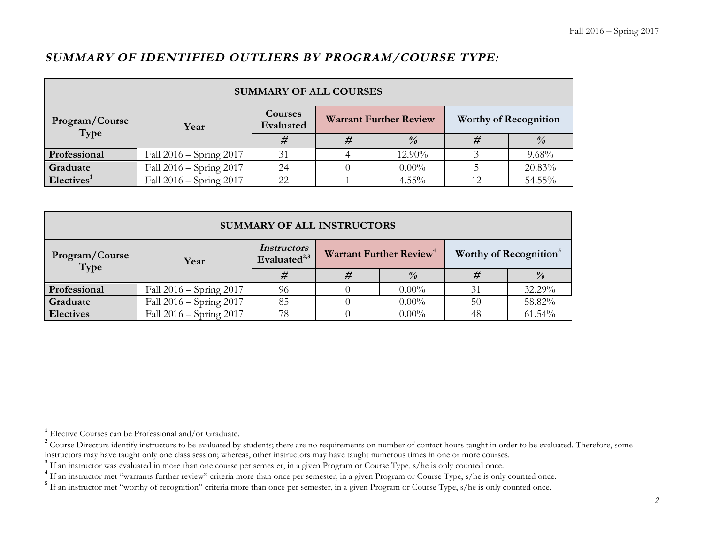## **SUMMARY OF IDENTIFIED OUTLIERS BY PROGRAM/COURSE TYPE:**

| <b>SUMMARY OF ALL COURSES</b> |                         |                      |                               |               |                              |               |  |  |
|-------------------------------|-------------------------|----------------------|-------------------------------|---------------|------------------------------|---------------|--|--|
| Program/Course<br>Type        | Year                    | Courses<br>Evaluated | <b>Warrant Further Review</b> |               | <b>Worthy of Recognition</b> |               |  |  |
|                               |                         | #                    | ₩                             | $\frac{0}{0}$ |                              | $\frac{9}{6}$ |  |  |
| Professional                  | Fall 2016 – Spring 2017 | 31                   |                               | 12.90%        |                              | 9.68%         |  |  |
| Graduate                      | Fall 2016 – Spring 2017 | 24                   |                               | $0.00\%$      |                              | 20.83%        |  |  |
| Electives <sup>1</sup>        | Fall 2016 – Spring 2017 | 22                   |                               | $4.55\%$      |                              | 54.55%        |  |  |

| <b>SUMMARY OF ALL INSTRUCTORS</b> |                             |                                       |  |                                     |    |                                    |  |  |
|-----------------------------------|-----------------------------|---------------------------------------|--|-------------------------------------|----|------------------------------------|--|--|
| Program/Course<br>Type            | Year                        | <i>Instructors</i><br>Evaluated $2,3$ |  | Warrant Further Review <sup>4</sup> |    | Worthy of Recognition <sup>5</sup> |  |  |
|                                   |                             | #                                     |  | $\frac{0}{0}$                       | #  | $\frac{0}{0}$                      |  |  |
| Professional                      | Fall $2016 -$ Spring $2017$ | 96                                    |  | $0.00\%$                            | 31 | 32.29%                             |  |  |
| Graduate                          | Fall 2016 – Spring 2017     | 85                                    |  | $0.00\%$                            | 50 | 58.82%                             |  |  |
| <b>Electives</b>                  | Fall $2016 -$ Spring $2017$ | 78                                    |  | $0.00\%$                            | 48 | 61.54%                             |  |  |

<u> 1989 - Johann Barn, mars eta bat erroman erroman erroman erroman erroman erroman erroman erroman erroman err</u>

<sup>&</sup>lt;sup>1</sup> Elective Courses can be Professional and/or Graduate.

<sup>&</sup>lt;sup>2</sup> Course Directors identify instructors to be evaluated by students; there are no requirements on number of contact hours taught in order to be evaluated. Therefore, some instructors may have taught numerous times in one

<sup>&</sup>lt;sup>3</sup> If an instructor was evaluated in more than one course per semester, in a given Program or Course Type, s/he is only counted once.<br><sup>4</sup> If an instructor met "warrants further review" criteria more than once per semester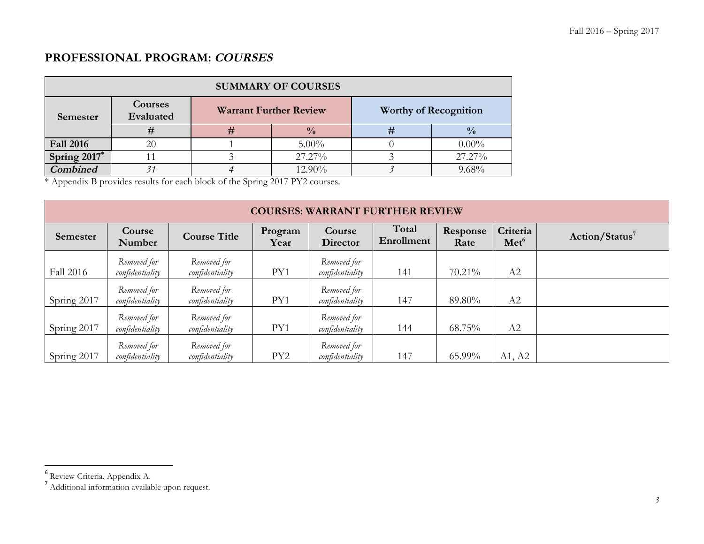## **PROFESSIONAL PROGRAM: COURSES**

| <b>SUMMARY OF COURSES</b> |                      |  |                               |                              |               |  |  |  |  |
|---------------------------|----------------------|--|-------------------------------|------------------------------|---------------|--|--|--|--|
| Semester                  | Courses<br>Evaluated |  | <b>Warrant Further Review</b> | <b>Worthy of Recognition</b> |               |  |  |  |  |
|                           |                      |  | $\frac{0}{0}$                 | #                            | $\frac{0}{0}$ |  |  |  |  |
| <b>Fall 2016</b>          | 20                   |  | $5.00\%$                      |                              | $0.00\%$      |  |  |  |  |
| Spring $2017$             |                      |  | 27.27%                        |                              | 27.27%        |  |  |  |  |
| <b>Combined</b>           |                      |  | 12.90%                        |                              | 9.68%         |  |  |  |  |

\* Appendix B provides results for each block of the Spring 2017 PY2 courses.

|             | <b>COURSES: WARRANT FURTHER REVIEW</b> |                                |                 |                                |                     |                  |                              |                            |  |  |
|-------------|----------------------------------------|--------------------------------|-----------------|--------------------------------|---------------------|------------------|------------------------------|----------------------------|--|--|
| Semester    | Course<br>Number                       | <b>Course Title</b>            | Program<br>Year | Course<br><b>Director</b>      | Total<br>Enrollment | Response<br>Rate | Criteria<br>Met <sup>6</sup> | Action/Status <sup>7</sup> |  |  |
| Fall 2016   | Removed for<br>confidentiality         | Removed for<br>confidentiality | PY1             | Removed for<br>confidentiality | 141                 | 70.21%           | A2                           |                            |  |  |
| Spring 2017 | Removed for<br>confidentiality         | Removed for<br>confidentiality | PY1             | Removed for<br>confidentiality | 147                 | 89.80%           | A2                           |                            |  |  |
| Spring 2017 | Removed for<br>confidentiality         | Removed for<br>confidentiality | PY1             | Removed for<br>confidentiality | 144                 | 68.75%           | A2                           |                            |  |  |
| Spring 2017 | Removed for<br>confidentiality         | Removed for<br>confidentiality | PY <sub>2</sub> | Removed for<br>confidentiality | 147                 | 65.99%           | A1, A2                       |                            |  |  |

<u> 1989 - Johann Barn, mars eta bat erroman erroman erroman erroman erroman erroman erroman erroman erroman err</u>

<sup>6</sup> Review Criteria, Appendix A.

<sup>&</sup>lt;sup>7</sup> Additional information available upon request.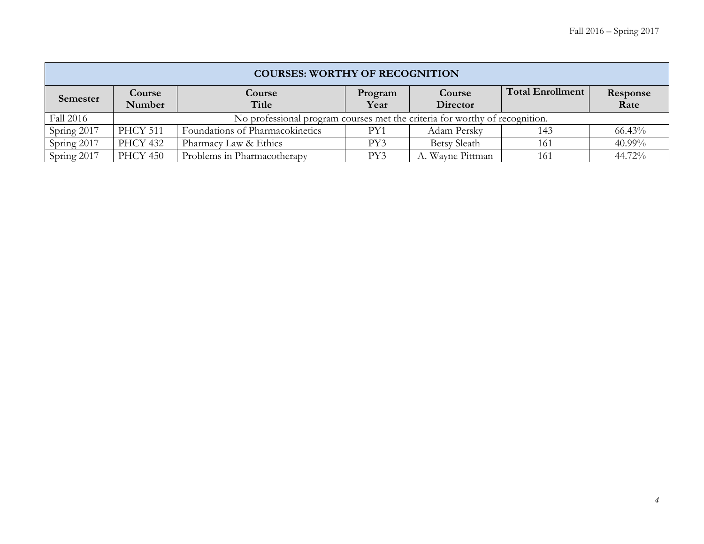|             | <b>COURSES: WORTHY OF RECOGNITION</b> |                                                                             |                 |                     |                         |                  |  |  |  |  |
|-------------|---------------------------------------|-----------------------------------------------------------------------------|-----------------|---------------------|-------------------------|------------------|--|--|--|--|
| Semester    | Course<br><b>Number</b>               | Course<br>Title                                                             | Program<br>Year | Course<br>Director  | <b>Total Enrollment</b> | Response<br>Rate |  |  |  |  |
| Fall 2016   |                                       | No professional program courses met the criteria for worthy of recognition. |                 |                     |                         |                  |  |  |  |  |
| Spring 2017 | <b>PHCY 511</b>                       | Foundations of Pharmacokinetics                                             | PY1             | Adam Persky         | 143                     | 66.43%           |  |  |  |  |
| Spring 2017 | <b>PHCY 432</b>                       | Pharmacy Law & Ethics                                                       | PY3             | <b>Betsy Sleath</b> | 161                     | 40.99%           |  |  |  |  |
| Spring 2017 | <b>PHCY 450</b>                       | Problems in Pharmacotherapy                                                 | PY3             | A. Wayne Pittman    | 161                     | 44.72%           |  |  |  |  |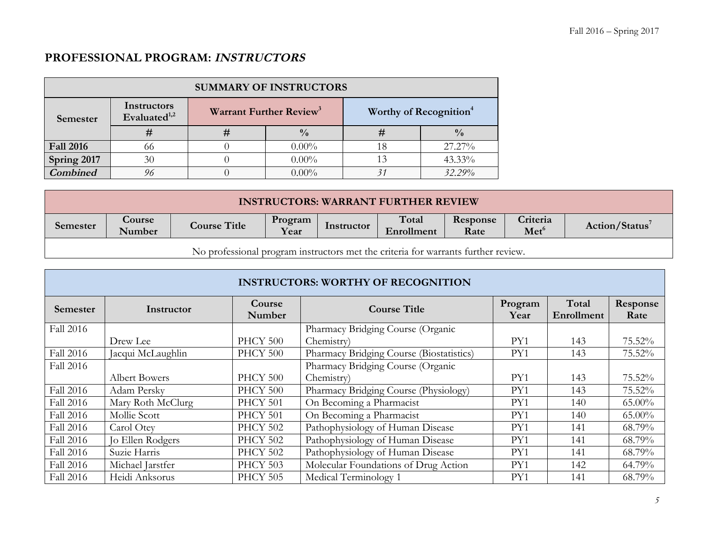## **PROFESSIONAL PROGRAM: INSTRUCTORS**

| <b>SUMMARY OF INSTRUCTORS</b> |                                         |  |                                     |                                    |               |  |  |  |  |
|-------------------------------|-----------------------------------------|--|-------------------------------------|------------------------------------|---------------|--|--|--|--|
| Semester                      | Instructors<br>Evaluated <sup>1,2</sup> |  | Warrant Further Review <sup>3</sup> | Worthy of Recognition <sup>4</sup> |               |  |  |  |  |
|                               | #                                       |  | $\frac{0}{0}$                       | #                                  | $\frac{0}{0}$ |  |  |  |  |
| <b>Fall 2016</b>              | 66                                      |  | $0.00\%$                            |                                    | 27.27%        |  |  |  |  |
| Spring 2017                   | 30                                      |  | $0.00\%$                            |                                    | 43.33%        |  |  |  |  |
| <b>Combined</b>               |                                         |  | $0.00\%$                            |                                    | 32.29%        |  |  |  |  |

| <b>INSTRUCTORS: WARRANT FURTHER REVIEW</b>                                        |                                                                                                                                                                                   |  |  |  |  |  |  |  |
|-----------------------------------------------------------------------------------|-----------------------------------------------------------------------------------------------------------------------------------------------------------------------------------|--|--|--|--|--|--|--|
| Semester                                                                          | Criteria<br>Total<br>Response<br>Course<br>Program<br><b>Course Title</b><br>Action/Status <sup>7</sup><br>Instructor<br>Year<br>Met <sup>6</sup><br>Number<br>Enrollment<br>Rate |  |  |  |  |  |  |  |
| No professional program instructors met the criteria for warrants further review. |                                                                                                                                                                                   |  |  |  |  |  |  |  |

|                 | <b>INSTRUCTORS: WORTHY OF RECOGNITION</b> |                  |                                          |                 |                     |                  |  |  |  |  |  |
|-----------------|-------------------------------------------|------------------|------------------------------------------|-----------------|---------------------|------------------|--|--|--|--|--|
| <b>Semester</b> | Instructor                                | Course<br>Number | <b>Course Title</b>                      | Program<br>Year | Total<br>Enrollment | Response<br>Rate |  |  |  |  |  |
| Fall 2016       |                                           |                  | Pharmacy Bridging Course (Organic        |                 |                     |                  |  |  |  |  |  |
|                 | Drew Lee                                  | PHCY 500         | Chemistry)                               | PY1             | 143                 | 75.52%           |  |  |  |  |  |
| Fall 2016       | Jacqui McLaughlin                         | PHCY 500         | Pharmacy Bridging Course (Biostatistics) | PY1             | 143                 | 75.52%           |  |  |  |  |  |
| Fall 2016       |                                           |                  | Pharmacy Bridging Course (Organic        |                 |                     |                  |  |  |  |  |  |
|                 | <b>Albert Bowers</b>                      | PHCY 500         | Chemistry)                               | PY1             | 143                 | 75.52%           |  |  |  |  |  |
| Fall 2016       | Adam Persky                               | PHCY 500         | Pharmacy Bridging Course (Physiology)    | PY1             | 143                 | 75.52%           |  |  |  |  |  |
| Fall 2016       | Mary Roth McClurg                         | PHCY 501         | On Becoming a Pharmacist                 | PY1             | 140                 | $65.00\%$        |  |  |  |  |  |
| Fall 2016       | Mollie Scott                              | PHCY 501         | On Becoming a Pharmacist                 | PY1             | 140                 | $65.00\%$        |  |  |  |  |  |
| Fall 2016       | Carol Otey                                | <b>PHCY 502</b>  | Pathophysiology of Human Disease         | PY1             | 141                 | 68.79%           |  |  |  |  |  |
| Fall 2016       | Jo Ellen Rodgers                          | <b>PHCY 502</b>  | Pathophysiology of Human Disease         | PY1             | 141                 | 68.79%           |  |  |  |  |  |
| Fall 2016       | Suzie Harris                              | <b>PHCY 502</b>  | Pathophysiology of Human Disease         | PY1             | 141                 | 68.79%           |  |  |  |  |  |
| Fall 2016       | Michael Jarstfer                          | PHCY 503         | Molecular Foundations of Drug Action     | PY1             | 142                 | 64.79%           |  |  |  |  |  |
| Fall 2016       | Heidi Anksorus                            | <b>PHCY 505</b>  | Medical Terminology 1                    | PY1             | 141                 | 68.79%           |  |  |  |  |  |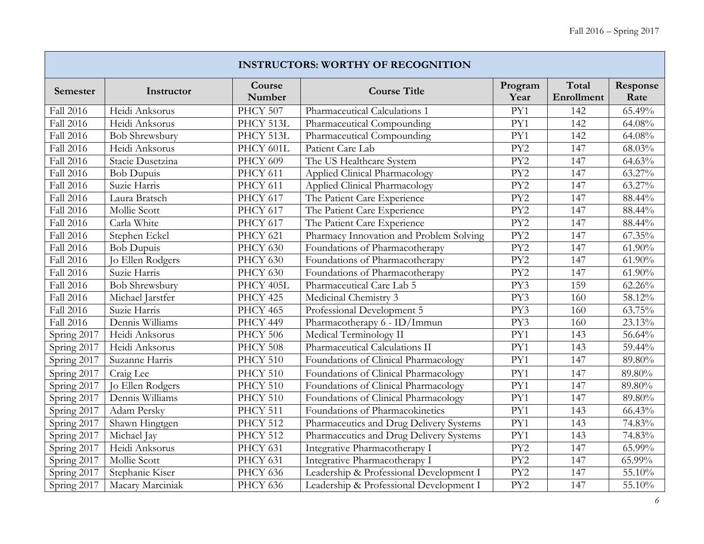J

|                  | <b>INSTRUCTORS: WORTHY OF RECOGNITION</b> |                  |                                         |                  |                     |                     |  |  |  |  |  |
|------------------|-------------------------------------------|------------------|-----------------------------------------|------------------|---------------------|---------------------|--|--|--|--|--|
| Semester         | Instructor                                | Course<br>Number | <b>Course Title</b>                     | Program<br>Year  | Total<br>Enrollment | Response<br>Rate    |  |  |  |  |  |
| Fall 2016        | Heidi Anksorus                            | PHCY 507         | Pharmaceutical Calculations 1           | PY1              | 142                 | 65.49%              |  |  |  |  |  |
| Fall 2016        | Heidi Anksorus                            | PHCY 513L        | Pharmaceutical Compounding              | PY1              | 142                 | 64.08%              |  |  |  |  |  |
| Fall 2016        | <b>Bob Shrewsbury</b>                     | PHCY 513L        | Pharmaceutical Compounding              | PY1              | 142                 | 64.08%              |  |  |  |  |  |
| <b>Fall 2016</b> | Heidi Anksorus                            | PHCY 601L        | Patient Care Lab                        | PY <sub>2</sub>  | 147                 | 68.03%              |  |  |  |  |  |
| Fall 2016        | Stacie Dusetzina                          | <b>PHCY 609</b>  | The US Healthcare System                | PY <sub>2</sub>  | 147                 | 64.63%              |  |  |  |  |  |
| Fall 2016        | <b>Bob Dupuis</b>                         | PHCY 611         | Applied Clinical Pharmacology           | PY <sub>2</sub>  | 147                 | 63.27%              |  |  |  |  |  |
| <b>Fall 2016</b> | Suzie Harris                              | PHCY 611         | Applied Clinical Pharmacology           | PY <sub>2</sub>  | 147                 | 63.27%              |  |  |  |  |  |
| <b>Fall 2016</b> | Laura Bratsch                             | PHCY 617         | The Patient Care Experience             | PY <sub>2</sub>  | 147                 | 88.44%              |  |  |  |  |  |
| Fall 2016        | Mollie Scott                              | PHCY 617         | The Patient Care Experience             | PY2              | 147                 | 88.44%              |  |  |  |  |  |
| Fall 2016        | Carla White                               | PHCY 617         | The Patient Care Experience             | PY <sub>2</sub>  | 147                 | 88.44%              |  |  |  |  |  |
| Fall 2016        | Stephen Eckel                             | PHCY 621         | Pharmacy Innovation and Problem Solving | PY2              | 147                 | 67.35%              |  |  |  |  |  |
| Fall 2016        | <b>Bob Dupuis</b>                         | PHCY 630         | Foundations of Pharmacotherapy          | PY <sub>2</sub>  | 147                 | 61.90%              |  |  |  |  |  |
| Fall 2016        | Jo Ellen Rodgers                          | PHCY 630         | Foundations of Pharmacotherapy          | PY <sub>2</sub>  | 147                 | 61.90%              |  |  |  |  |  |
| Fall 2016        | Suzie Harris                              | PHCY 630         | Foundations of Pharmacotherapy          | PY <sub>2</sub>  | 147                 | $61.90\%$           |  |  |  |  |  |
| Fall 2016        | <b>Bob Shrewsbury</b>                     | PHCY 405L        | Pharmaceutical Care Lab 5               | PY3              | 159                 | $62.26\%$           |  |  |  |  |  |
| <b>Fall 2016</b> | Michael Jarstfer                          | PHCY 425         | Medicinal Chemistry 3                   | PY3              | 160                 | 58.12%              |  |  |  |  |  |
| Fall 2016        | Suzie Harris                              | <b>PHCY 465</b>  | Professional Development 5              | PY3              | 160                 | 63.75%              |  |  |  |  |  |
| <b>Fall 2016</b> | Dennis Williams                           | PHCY 449         | Pharmacotherapy 6 - ID/Immun            | PY3              | 160                 | 23.13%              |  |  |  |  |  |
| Spring 2017      | Heidi Anksorus                            | PHCY 506         | Medical Terminology II                  | PY1              | 143                 | $\frac{1}{56.64\%}$ |  |  |  |  |  |
| Spring 2017      | Heidi Anksorus                            | PHCY 508         | Pharmaceutical Calculations II          | PY1              | 143                 | 59.44%              |  |  |  |  |  |
| Spring 2017      | Suzanne Harris                            | PHCY 510         | Foundations of Clinical Pharmacology    | $\overline{PY1}$ | 147                 | 89.80%              |  |  |  |  |  |
| Spring 2017      | Craig Lee                                 | PHCY 510         | Foundations of Clinical Pharmacology    | PY1              | 147                 | 89.80%              |  |  |  |  |  |
| Spring 2017      | Jo Ellen Rodgers                          | PHCY 510         | Foundations of Clinical Pharmacology    | PY1              | 147                 | 89.80%              |  |  |  |  |  |
| Spring 2017      | Dennis Williams                           | PHCY 510         | Foundations of Clinical Pharmacology    | PY1              | 147                 | 89.80%              |  |  |  |  |  |
| Spring 2017      | Adam Persky                               | PHCY 511         | Foundations of Pharmacokinetics         | PY1              | 143                 | 66.43%              |  |  |  |  |  |
| Spring 2017      | Shawn Hingtgen                            | <b>PHCY 512</b>  | Pharmaceutics and Drug Delivery Systems | $\overline{PY1}$ | 143                 | 74.83%              |  |  |  |  |  |
| Spring 2017      | Michael Jay                               | <b>PHCY 512</b>  | Pharmaceutics and Drug Delivery Systems | PY1              | 143                 | 74.83%              |  |  |  |  |  |
| Spring 2017      | Heidi Anksorus                            | PHCY 631         | Integrative Pharmacotherapy I           | PY <sub>2</sub>  | 147                 | 65.99%              |  |  |  |  |  |
| Spring 2017      | Mollie Scott                              | PHCY 631         | Integrative Pharmacotherapy I           | PY <sub>2</sub>  | 147                 | 65.99%              |  |  |  |  |  |
| Spring 2017      | Stephanie Kiser                           | PHCY 636         | Leadership & Professional Development I | PY <sub>2</sub>  | 147                 | 55.10%              |  |  |  |  |  |
| Spring 2017      | Macary Marciniak                          | PHCY 636         | Leadership & Professional Development I | PY <sub>2</sub>  | 147                 | 55.10%              |  |  |  |  |  |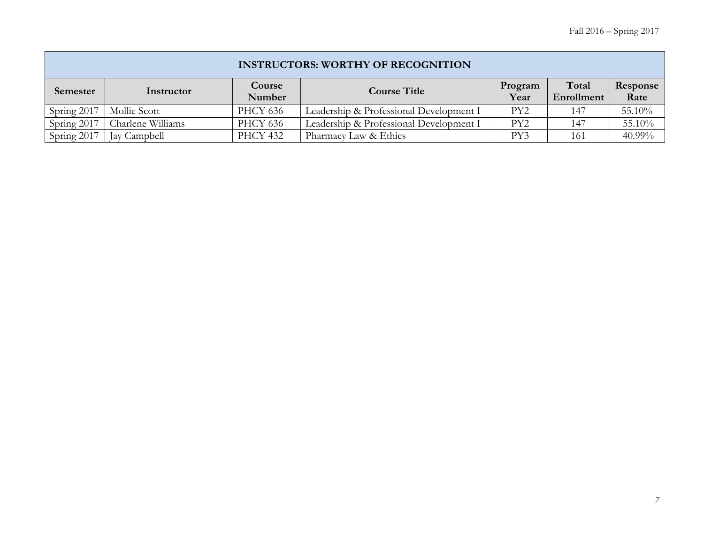|             | <b>INSTRUCTORS: WORTHY OF RECOGNITION</b> |                  |                                         |                 |                     |                  |  |  |  |  |
|-------------|-------------------------------------------|------------------|-----------------------------------------|-----------------|---------------------|------------------|--|--|--|--|
| Semester    | Instructor                                | Course<br>Number | <b>Course Title</b>                     | Program<br>Year | Total<br>Enrollment | Response<br>Rate |  |  |  |  |
| Spring 2017 | Mollie Scott                              | <b>PHCY 636</b>  | Leadership & Professional Development I | PY2             | 147                 | 55.10%           |  |  |  |  |
| Spring 2017 | Charlene Williams                         | <b>PHCY 636</b>  | Leadership & Professional Development I | PY <sub>2</sub> | 147                 | 55.10%           |  |  |  |  |
| Spring 2017 | Jay Campbell                              | <b>PHCY 432</b>  | Pharmacy Law & Ethics                   | PY3             | 161                 | 40.99%           |  |  |  |  |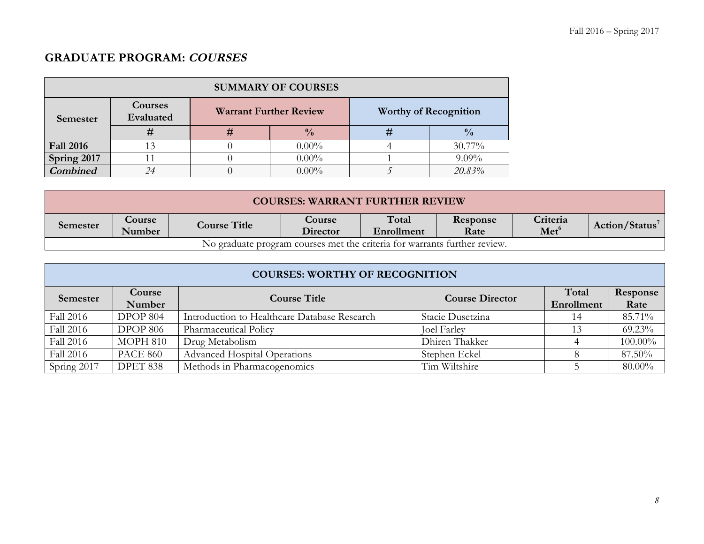# **GRADUATE PROGRAM: COURSES**

| <b>SUMMARY OF COURSES</b> |                      |   |                               |                              |               |  |  |  |  |
|---------------------------|----------------------|---|-------------------------------|------------------------------|---------------|--|--|--|--|
| Semester                  | Courses<br>Evaluated |   | <b>Warrant Further Review</b> | <b>Worthy of Recognition</b> |               |  |  |  |  |
|                           |                      | # | $\frac{0}{0}$                 |                              | $\frac{0}{0}$ |  |  |  |  |
| <b>Fall 2016</b>          |                      |   | $0.00\%$                      |                              | $30.77\%$     |  |  |  |  |
| Spring 2017               |                      |   | $0.00\%$                      |                              | $9.09\%$      |  |  |  |  |
| <b>Combined</b>           | 24                   |   | $0.00\%$                      |                              | 20.83%        |  |  |  |  |

|          | <b>COURSES: WARRANT FURTHER REVIEW</b>                                    |                     |                    |                     |                  |                              |               |  |  |
|----------|---------------------------------------------------------------------------|---------------------|--------------------|---------------------|------------------|------------------------------|---------------|--|--|
| Semester | <b>Course</b><br>Number                                                   | <b>Course Title</b> | Course<br>Director | Total<br>Enrollment | Response<br>Rate | Criteria<br>Met <sup>6</sup> | Action/Status |  |  |
|          | No graduate program courses met the criteria for warrants further review. |                     |                    |                     |                  |                              |               |  |  |

|             | <b>COURSES: WORTHY OF RECOGNITION</b> |                                              |                        |                     |                  |  |  |  |
|-------------|---------------------------------------|----------------------------------------------|------------------------|---------------------|------------------|--|--|--|
| Semester    | Course<br>Number                      | <b>Course Title</b>                          | <b>Course Director</b> | Total<br>Enrollment | Response<br>Rate |  |  |  |
| Fall 2016   | DPOP 804                              | Introduction to Healthcare Database Research | Stacie Dusetzina       | 14                  | 85.71%           |  |  |  |
| Fall 2016   | <b>DPOP 806</b>                       | Pharmaceutical Policy                        | <b>Joel Farley</b>     | 13                  | 69.23%           |  |  |  |
| Fall 2016   | MOPH 810                              | Drug Metabolism                              | Dhiren Thakker         |                     | 100.00%          |  |  |  |
| Fall 2016   | <b>PACE 860</b>                       | <b>Advanced Hospital Operations</b>          | Stephen Eckel          |                     | 87.50%           |  |  |  |
| Spring 2017 | DPET 838                              | Methods in Pharmacogenomics                  | Tim Wiltshire          |                     | $80.00\%$        |  |  |  |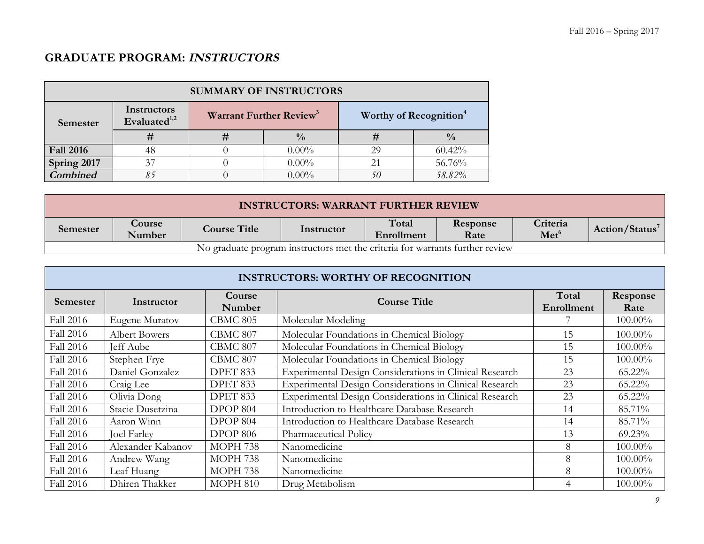# **GRADUATE PROGRAM: INSTRUCTORS**

| <b>SUMMARY OF INSTRUCTORS</b> |                                         |   |                                     |                                    |               |  |  |
|-------------------------------|-----------------------------------------|---|-------------------------------------|------------------------------------|---------------|--|--|
| Semester                      | Instructors<br>Evaluated <sup>1,2</sup> |   | Warrant Further Review <sup>3</sup> | Worthy of Recognition <sup>4</sup> |               |  |  |
|                               | #                                       | # | $\frac{0}{0}$                       | #                                  | $\frac{0}{0}$ |  |  |
| <b>Fall 2016</b>              | 48                                      |   | $0.00\%$                            | 29                                 | 60.42%        |  |  |
| Spring 2017                   | 37                                      |   | $0.00\%$                            | 21                                 | 56.76%        |  |  |
| <b>Combined</b>               | 85                                      |   | $0.00\%$                            | 50                                 | 58.82%        |  |  |

| <b>INSTRUCTORS: WARRANT FURTHER REVIEW</b>                                   |                                                                                                                                                                       |  |  |  |  |  |  |
|------------------------------------------------------------------------------|-----------------------------------------------------------------------------------------------------------------------------------------------------------------------|--|--|--|--|--|--|
| Semester                                                                     | Total<br>Criteria<br><b>Course</b><br>Response<br><b>Course Title</b><br>Action/Status <sup>7</sup><br>Instructor<br>Met <sup>6</sup><br>Enrollment<br>Number<br>Rate |  |  |  |  |  |  |
| No graduate program instructors met the criteria for warrants further review |                                                                                                                                                                       |  |  |  |  |  |  |

| <b>INSTRUCTORS: WORTHY OF RECOGNITION</b> |                      |                  |                                                         |                     |                  |  |  |
|-------------------------------------------|----------------------|------------------|---------------------------------------------------------|---------------------|------------------|--|--|
| Semester                                  | Instructor           | Course<br>Number | <b>Course Title</b>                                     | Total<br>Enrollment | Response<br>Rate |  |  |
| Fall 2016                                 | Eugene Muratov       | <b>CBMC 805</b>  | Molecular Modeling                                      |                     | 100.00%          |  |  |
| Fall 2016                                 | <b>Albert Bowers</b> | CBMC 807         | Molecular Foundations in Chemical Biology               | 15                  | $100.00\%$       |  |  |
| Fall 2016                                 | Jeff Aube            | CBMC 807         | Molecular Foundations in Chemical Biology               | 15                  | 100.00%          |  |  |
| Fall 2016                                 | Stephen Frye         | CBMC 807         | Molecular Foundations in Chemical Biology               | 15                  | 100.00%          |  |  |
| Fall 2016                                 | Daniel Gonzalez      | DPET 833         | Experimental Design Considerations in Clinical Research | 23                  | 65.22%           |  |  |
| Fall 2016                                 | Craig Lee            | DPET 833         | Experimental Design Considerations in Clinical Research | 23                  | 65.22%           |  |  |
| Fall 2016                                 | Olivia Dong          | DPET 833         | Experimental Design Considerations in Clinical Research | 23                  | $65.22\%$        |  |  |
| Fall 2016                                 | Stacie Dusetzina     | DPOP 804         | Introduction to Healthcare Database Research            | 14                  | 85.71%           |  |  |
| Fall 2016                                 | Aaron Winn           | DPOP 804         | Introduction to Healthcare Database Research            | 14                  | 85.71%           |  |  |
| Fall 2016                                 | <b>Joel Farley</b>   | <b>DPOP 806</b>  | Pharmaceutical Policy                                   | 13                  | $69.23\%$        |  |  |
| Fall 2016                                 | Alexander Kabanov    | MOPH 738         | Nanomedicine                                            | 8                   | 100.00%          |  |  |
| Fall 2016                                 | Andrew Wang          | MOPH 738         | Nanomedicine                                            | 8                   | 100.00%          |  |  |
| Fall 2016                                 | Leaf Huang           | MOPH 738         | Nanomedicine                                            | 8                   | 100.00%          |  |  |
| Fall 2016                                 | Dhiren Thakker       | <b>MOPH 810</b>  | Drug Metabolism                                         |                     | $100.00\%$       |  |  |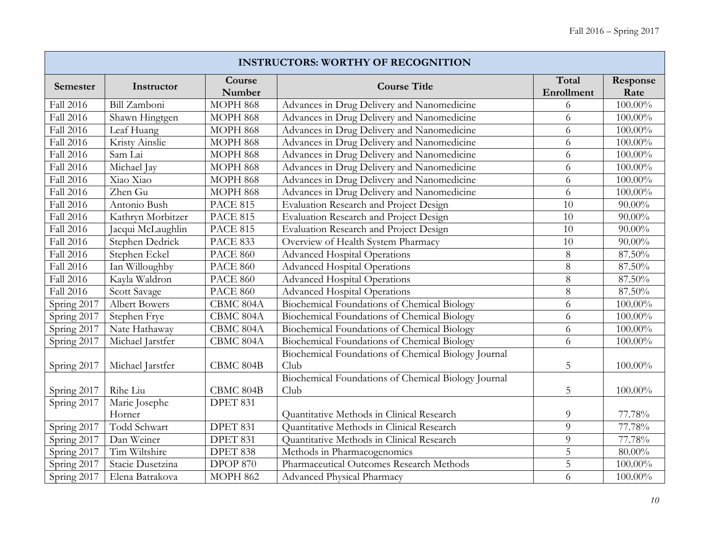|                  | <b>INSTRUCTORS: WORTHY OF RECOGNITION</b> |                  |                                                     |                     |                  |  |  |  |
|------------------|-------------------------------------------|------------------|-----------------------------------------------------|---------------------|------------------|--|--|--|
| Semester         | Instructor                                | Course<br>Number | <b>Course Title</b>                                 | Total<br>Enrollment | Response<br>Rate |  |  |  |
| Fall 2016        | Bill Zamboni                              | <b>MOPH 868</b>  | Advances in Drug Delivery and Nanomedicine          | 6                   | 100.00%          |  |  |  |
| Fall 2016        | Shawn Hingtgen                            | <b>MOPH 868</b>  | Advances in Drug Delivery and Nanomedicine          | 6                   | 100.00%          |  |  |  |
| <b>Fall 2016</b> | Leaf Huang                                | <b>MOPH 868</b>  | Advances in Drug Delivery and Nanomedicine          | 6                   | 100.00%          |  |  |  |
| Fall 2016        | Kristy Ainslie                            | <b>MOPH 868</b>  | Advances in Drug Delivery and Nanomedicine          | 6                   | $100.00\%$       |  |  |  |
| Fall 2016        | Sam Lai                                   | <b>MOPH 868</b>  | Advances in Drug Delivery and Nanomedicine          | 6                   | 100.00%          |  |  |  |
| Fall 2016        | Michael Jay                               | <b>MOPH 868</b>  | Advances in Drug Delivery and Nanomedicine          | 6                   | $100.00\%$       |  |  |  |
| Fall 2016        | Xiao Xiao                                 | <b>MOPH 868</b>  | Advances in Drug Delivery and Nanomedicine          | 6                   | $100.00\%$       |  |  |  |
| Fall 2016        | Zhen Gu                                   | <b>MOPH 868</b>  | Advances in Drug Delivery and Nanomedicine          | 6                   | 100.00%          |  |  |  |
| Fall 2016        | Antonio Bush                              | <b>PACE 815</b>  | Evaluation Research and Project Design              | 10                  | $90.00\%$        |  |  |  |
| Fall 2016        | Kathryn Morbitzer                         | <b>PACE 815</b>  | Evaluation Research and Project Design              | 10                  | $90.00\%$        |  |  |  |
| Fall 2016        | Jacqui McLaughlin                         | <b>PACE 815</b>  | Evaluation Research and Project Design              | $\overline{10}$     | $90.00\%$        |  |  |  |
| Fall 2016        | Stephen Dedrick                           | <b>PACE 833</b>  | Overview of Health System Pharmacy                  | 10                  | $90.00\%$        |  |  |  |
| Fall 2016        | Stephen Eckel                             | <b>PACE 860</b>  | Advanced Hospital Operations                        | 8                   | 87.50%           |  |  |  |
| Fall 2016        | Ian Willoughby                            | <b>PACE 860</b>  | <b>Advanced Hospital Operations</b>                 | $\overline{8}$      | 87.50%           |  |  |  |
| <b>Fall 2016</b> | Kayla Waldron                             | <b>PACE 860</b>  | <b>Advanced Hospital Operations</b>                 | 8                   | 87.50%           |  |  |  |
| Fall 2016        | Scott Savage                              | <b>PACE 860</b>  | <b>Advanced Hospital Operations</b>                 | 8                   | 87.50%           |  |  |  |
| Spring 2017      | <b>Albert Bowers</b>                      | CBMC 804A        | Biochemical Foundations of Chemical Biology         | 6                   | $100.00\%$       |  |  |  |
| Spring 2017      | Stephen Frye                              | CBMC 804A        | Biochemical Foundations of Chemical Biology         | 6                   | 100.00%          |  |  |  |
| Spring 2017      | Nate Hathaway                             | CBMC 804A        | Biochemical Foundations of Chemical Biology         | 6                   | 100.00%          |  |  |  |
| Spring 2017      | Michael Jarstfer                          | CBMC 804A        | Biochemical Foundations of Chemical Biology         | 6                   | 100.00%          |  |  |  |
|                  |                                           |                  | Biochemical Foundations of Chemical Biology Journal |                     |                  |  |  |  |
| Spring 2017      | Michael Jarstfer                          | CBMC 804B        | Club                                                | 5                   | 100.00%          |  |  |  |
|                  |                                           |                  | Biochemical Foundations of Chemical Biology Journal |                     |                  |  |  |  |
| Spring 2017      | Rihe Liu                                  | CBMC 804B        | Club                                                | 5                   | 100.00%          |  |  |  |
| Spring 2017      | Marie Josephe                             | DPET 831         |                                                     |                     |                  |  |  |  |
|                  | Horner                                    |                  | Quantitative Methods in Clinical Research           | 9                   | 77.78%           |  |  |  |
| Spring 2017      | Todd Schwart                              | DPET 831         | Quantitative Methods in Clinical Research           | 9                   | 77.78%           |  |  |  |
| Spring 2017      | Dan Weiner                                | DPET 831         | Quantitative Methods in Clinical Research           | 9                   | 77.78%           |  |  |  |
| Spring 2017      | Tim Wiltshire                             | DPET 838         | Methods in Pharmacogenomics                         | $\overline{5}$      | $80.00\%$        |  |  |  |
| Spring 2017      | Stacie Dusetzina                          | <b>DPOP 870</b>  | Pharmaceutical Outcomes Research Methods            | 5                   | 100.00%          |  |  |  |
| Spring 2017      | Elena Batrakova                           | <b>MOPH 862</b>  | Advanced Physical Pharmacy                          | 6                   | 100.00%          |  |  |  |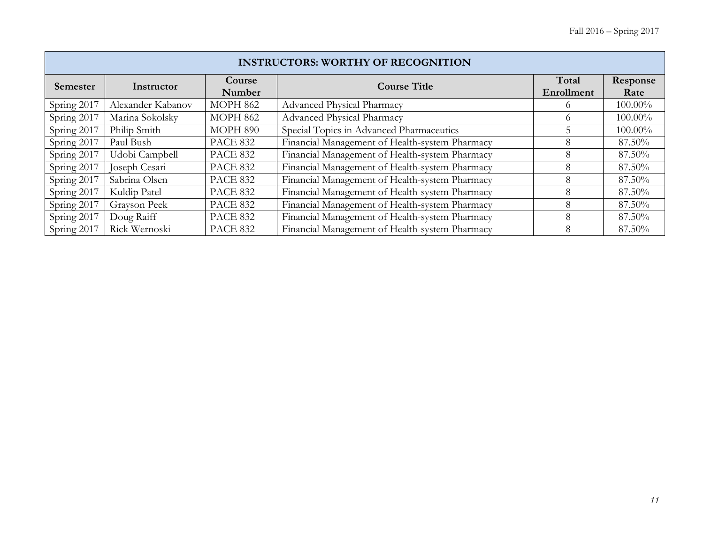|                 | <b>INSTRUCTORS: WORTHY OF RECOGNITION</b> |                 |                                                |                     |                  |  |  |  |  |
|-----------------|-------------------------------------------|-----------------|------------------------------------------------|---------------------|------------------|--|--|--|--|
| <b>Semester</b> | Course<br>Instructor<br>Number            |                 | <b>Course Title</b>                            | Total<br>Enrollment | Response<br>Rate |  |  |  |  |
| Spring 2017     | Alexander Kabanov                         | <b>MOPH 862</b> | Advanced Physical Pharmacy                     |                     | 100.00%          |  |  |  |  |
| Spring 2017     | Marina Sokolsky                           | <b>MOPH 862</b> | <b>Advanced Physical Pharmacy</b>              |                     | 100.00%          |  |  |  |  |
| Spring 2017     | Philip Smith                              | MOPH 890        | Special Topics in Advanced Pharmaceutics       |                     | 100.00%          |  |  |  |  |
| Spring 2017     | Paul Bush                                 | <b>PACE 832</b> | Financial Management of Health-system Pharmacy |                     | 87.50%           |  |  |  |  |
| Spring 2017     | Udobi Campbell                            | <b>PACE 832</b> | Financial Management of Health-system Pharmacy |                     | 87.50%           |  |  |  |  |
| Spring 2017     | Joseph Cesari                             | <b>PACE 832</b> | Financial Management of Health-system Pharmacy |                     | 87.50%           |  |  |  |  |
| Spring 2017     | Sabrina Olsen                             | <b>PACE 832</b> | Financial Management of Health-system Pharmacy |                     | 87.50%           |  |  |  |  |
| Spring 2017     | Kuldip Patel                              | <b>PACE 832</b> | Financial Management of Health-system Pharmacy |                     | 87.50%           |  |  |  |  |
| Spring 2017     | Grayson Peek                              | <b>PACE 832</b> | Financial Management of Health-system Pharmacy |                     | 87.50%           |  |  |  |  |
| Spring 2017     | Doug Raiff                                | <b>PACE 832</b> | Financial Management of Health-system Pharmacy | 8                   | 87.50%           |  |  |  |  |
| Spring 2017     | Rick Wernoski                             | <b>PACE 832</b> | Financial Management of Health-system Pharmacy |                     | 87.50%           |  |  |  |  |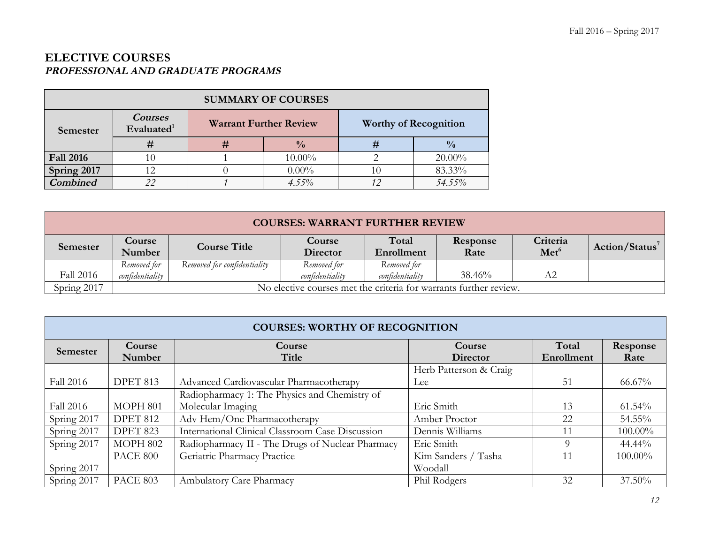### **ELECTIVE COURSES PROFESSIONAL AND GRADUATE PROGRAMS**

| <b>SUMMARY OF COURSES</b> |                                 |   |                               |    |                              |  |  |
|---------------------------|---------------------------------|---|-------------------------------|----|------------------------------|--|--|
| Semester                  | <b>Courses</b><br>Evaluated $1$ |   | <b>Warrant Further Review</b> |    | <b>Worthy of Recognition</b> |  |  |
|                           | #                               | # | $\frac{0}{0}$                 | #  | $\frac{0}{0}$                |  |  |
| <b>Fall 2016</b>          | 10                              |   | $10.00\%$                     |    | $20.00\%$                    |  |  |
| Spring 2017               | 12                              |   | $0.00\%$                      | 10 | 83.33%                       |  |  |
| <b>Combined</b>           | 22                              |   | $4.55\%$                      | 12 | 54.55%                       |  |  |

|             | <b>COURSES: WARRANT FURTHER REVIEW</b> |                             |                                                                   |                 |          |                  |                            |  |
|-------------|----------------------------------------|-----------------------------|-------------------------------------------------------------------|-----------------|----------|------------------|----------------------------|--|
| Semester    | <b>Course</b>                          | <b>Course Title</b>         | Course                                                            | Total           | Response | Criteria         | Action/Status <sup>7</sup> |  |
|             | Number                                 |                             | Director                                                          | Enrollment      | Rate     | Met <sup>6</sup> |                            |  |
|             | Removed for                            | Removed for confidentiality | Removed for                                                       | Removed for     |          |                  |                            |  |
| Fall 2016   | confidentiality                        |                             | confidentiality                                                   | confidentiality | 38.46%   | A2               |                            |  |
| Spring 2017 |                                        |                             | No elective courses met the criteria for warrants further review. |                 |          |                  |                            |  |

|             | <b>COURSES: WORTHY OF RECOGNITION</b> |                                                  |                        |            |            |  |  |  |  |
|-------------|---------------------------------------|--------------------------------------------------|------------------------|------------|------------|--|--|--|--|
| Semester    | <b>Course</b>                         | Course                                           | Course                 | Total      | Response   |  |  |  |  |
|             | Number                                | Title                                            | <b>Director</b>        | Enrollment | Rate       |  |  |  |  |
|             |                                       |                                                  | Herb Patterson & Craig |            |            |  |  |  |  |
| Fall 2016   | DPET 813                              | Advanced Cardiovascular Pharmacotherapy          | Lee                    | 51         | 66.67%     |  |  |  |  |
|             |                                       | Radiopharmacy 1: The Physics and Chemistry of    |                        |            |            |  |  |  |  |
| Fall 2016   | MOPH 801                              | Molecular Imaging                                | Eric Smith             | 13         | $61.54\%$  |  |  |  |  |
| Spring 2017 | <b>DPET 812</b>                       | Adv Hem/Onc Pharmacotherapy                      | Amber Proctor          | 22         | 54.55%     |  |  |  |  |
| Spring 2017 | <b>DPET 823</b>                       | International Clinical Classroom Case Discussion | Dennis Williams        | 11         | $100.00\%$ |  |  |  |  |
| Spring 2017 | MOPH 802                              | Radiopharmacy II - The Drugs of Nuclear Pharmacy | Eric Smith             |            | 44.44%     |  |  |  |  |
|             | PACE 800                              | Geriatric Pharmacy Practice                      | Kim Sanders / Tasha    |            | 100.00%    |  |  |  |  |
| Spring 2017 |                                       |                                                  | Woodall                |            |            |  |  |  |  |
| Spring 2017 | <b>PACE 803</b>                       | Ambulatory Care Pharmacy                         | Phil Rodgers           | 32         | 37.50%     |  |  |  |  |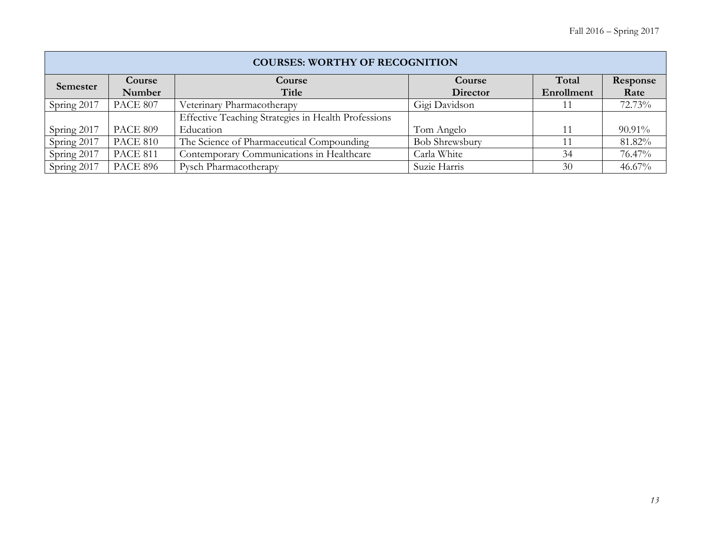|             | <b>COURSES: WORTHY OF RECOGNITION</b> |                                                     |                       |            |           |  |  |  |  |
|-------------|---------------------------------------|-----------------------------------------------------|-----------------------|------------|-----------|--|--|--|--|
| Semester    | Course                                | Course                                              | Course                | Total      | Response  |  |  |  |  |
|             | Number                                | Title                                               | Director              | Enrollment | Rate      |  |  |  |  |
| Spring 2017 | <b>PACE 807</b>                       | Veterinary Pharmacotherapy                          | Gigi Davidson         |            | 72.73%    |  |  |  |  |
|             |                                       | Effective Teaching Strategies in Health Professions |                       |            |           |  |  |  |  |
| Spring 2017 | <b>PACE 809</b>                       | Education                                           | Tom Angelo            |            | 90.91%    |  |  |  |  |
| Spring 2017 | <b>PACE 810</b>                       | The Science of Pharmaceutical Compounding           | <b>Bob Shrewsbury</b> |            | 81.82%    |  |  |  |  |
| Spring 2017 | <b>PACE 811</b>                       | Contemporary Communications in Healthcare           | Carla White           | 34         | 76.47%    |  |  |  |  |
| Spring 2017 | <b>PACE 896</b>                       | Pysch Pharmacotherapy                               | Suzie Harris          | 30         | $46.67\%$ |  |  |  |  |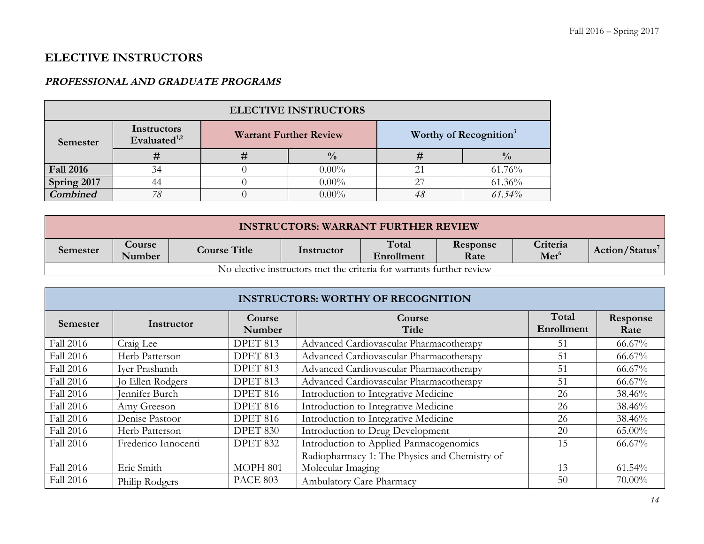## **ELECTIVE INSTRUCTORS**

### **PROFESSIONAL AND GRADUATE PROGRAMS**

| <b>ELECTIVE INSTRUCTORS</b> |                                |            |                               |        |                                    |  |  |  |
|-----------------------------|--------------------------------|------------|-------------------------------|--------|------------------------------------|--|--|--|
| Semester                    | Instructors<br>Evaluated $1,2$ |            | <b>Warrant Further Review</b> |        | Worthy of Recognition <sup>3</sup> |  |  |  |
|                             | #                              | $\bm{\pi}$ | $\frac{0}{0}$                 |        | $\frac{0}{0}$                      |  |  |  |
| <b>Fall 2016</b>            | 34                             |            | $0.00\%$                      |        | 61.76%                             |  |  |  |
| Spring 2017                 | 44                             |            | $\cap$                        | 61.36% |                                    |  |  |  |
| <b>Combined</b>             | 78                             |            | $0.00\%$                      | 48     | 61.54%                             |  |  |  |

| <b>INSTRUCTORS: WARRANT FURTHER REVIEW</b>                           |                         |                     |            |                     |                  |                              |                |
|----------------------------------------------------------------------|-------------------------|---------------------|------------|---------------------|------------------|------------------------------|----------------|
| Semester                                                             | <b>Course</b><br>Number | <b>Course Title</b> | Instructor | Total<br>Enrollment | Response<br>Rate | Criteria<br>Met <sup>6</sup> | Action/Status' |
| No elective instructors met the criteria for warrants further review |                         |                     |            |                     |                  |                              |                |

| <b>INSTRUCTORS: WORTHY OF RECOGNITION</b> |                     |                  |                                               |                     |                  |  |  |
|-------------------------------------------|---------------------|------------------|-----------------------------------------------|---------------------|------------------|--|--|
| <b>Semester</b>                           | Instructor          | Course<br>Number | Course<br>Title                               | Total<br>Enrollment | Response<br>Rate |  |  |
| Fall 2016                                 | Craig Lee           | DPET 813         | Advanced Cardiovascular Pharmacotherapy       | 51                  | 66.67%           |  |  |
| Fall 2016                                 | Herb Patterson      | DPET 813         | Advanced Cardiovascular Pharmacotherapy       | 51                  | 66.67%           |  |  |
| Fall 2016                                 | Iver Prashanth      | DPET 813         | Advanced Cardiovascular Pharmacotherapy       | 51                  | $66.67\%$        |  |  |
| Fall 2016                                 | Jo Ellen Rodgers    | DPET 813         | Advanced Cardiovascular Pharmacotherapy       | 51                  | $66.67\%$        |  |  |
| Fall 2016                                 | Jennifer Burch      | DPET 816         | Introduction to Integrative Medicine          | 26                  | 38.46%           |  |  |
| Fall 2016                                 | Amy Greeson         | DPET 816         | Introduction to Integrative Medicine          | 26                  | 38.46%           |  |  |
| Fall 2016                                 | Denise Pastoor      | DPET 816         | Introduction to Integrative Medicine          | 26                  | 38.46%           |  |  |
| Fall 2016                                 | Herb Patterson      | DPET 830         | Introduction to Drug Development              | 20                  | 65.00%           |  |  |
| Fall 2016                                 | Frederico Innocenti | DPET 832         | Introduction to Applied Parmacogenomics       | 15                  | 66.67%           |  |  |
|                                           |                     |                  | Radiopharmacy 1: The Physics and Chemistry of |                     |                  |  |  |
| Fall 2016                                 | Eric Smith          | MOPH 801         | Molecular Imaging                             | 13                  | 61.54%           |  |  |
| <b>Fall 2016</b>                          | Philip Rodgers      | <b>PACE 803</b>  | Ambulatory Care Pharmacy                      | 50                  | 70.00%           |  |  |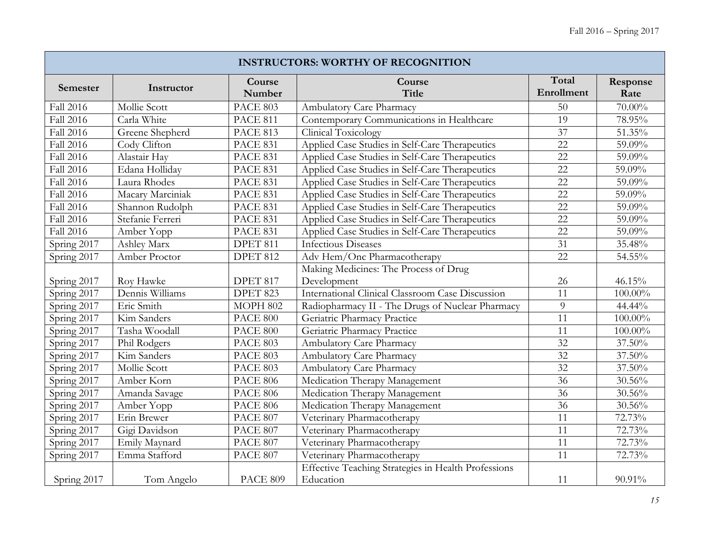| <b>INSTRUCTORS: WORTHY OF RECOGNITION</b> |                  |                              |                                                     |                     |                  |  |  |  |
|-------------------------------------------|------------------|------------------------------|-----------------------------------------------------|---------------------|------------------|--|--|--|
| Semester                                  | Instructor       | Course<br>Number             | Course<br><b>Title</b>                              | Total<br>Enrollment | Response<br>Rate |  |  |  |
| Fall 2016                                 | Mollie Scott     | PACE 803                     | Ambulatory Care Pharmacy                            | 50                  | 70.00%           |  |  |  |
| Fall 2016                                 | Carla White      | <b>PACE 811</b>              | Contemporary Communications in Healthcare           | 19                  | 78.95%           |  |  |  |
| Fall 2016                                 | Greene Shepherd  | <b>PACE 813</b>              | <b>Clinical Toxicology</b>                          | 37                  | 51.35%           |  |  |  |
| Fall 2016                                 | Cody Clifton     | <b>PACE 831</b>              | Applied Case Studies in Self-Care Therapeutics      | 22                  | 59.09%           |  |  |  |
| Fall 2016                                 | Alastair Hay     | <b>PACE 831</b>              | Applied Case Studies in Self-Care Therapeutics      | 22                  | 59.09%           |  |  |  |
| Fall 2016                                 | Edana Holliday   | <b>PACE 831</b>              | Applied Case Studies in Self-Care Therapeutics      | 22                  | 59.09%           |  |  |  |
| <b>Fall 2016</b>                          | Laura Rhodes     | <b>PACE 831</b>              | Applied Case Studies in Self-Care Therapeutics      | 22                  | 59.09%           |  |  |  |
| Fall 2016                                 | Macary Marciniak | <b>PACE 831</b>              | Applied Case Studies in Self-Care Therapeutics      | 22                  | 59.09%           |  |  |  |
| <b>Fall 2016</b>                          | Shannon Rudolph  | <b>PACE 831</b>              | Applied Case Studies in Self-Care Therapeutics      | 22                  | 59.09%           |  |  |  |
| Fall 2016                                 | Stefanie Ferreri | <b>PACE 831</b>              | Applied Case Studies in Self-Care Therapeutics      | 22                  | 59.09%           |  |  |  |
| Fall 2016                                 | Amber Yopp       | <b>PACE 831</b>              | Applied Case Studies in Self-Care Therapeutics      | 22                  | 59.09%           |  |  |  |
| Spring 2017                               | Ashley Marx      | DPET 811                     | <b>Infectious Diseases</b>                          | $\overline{31}$     | 35.48%           |  |  |  |
| Spring 2017                               | Amber Proctor    | <b>DPET 812</b>              | Adv Hem/Onc Pharmacotherapy                         | 22                  | 54.55%           |  |  |  |
|                                           |                  |                              | Making Medicines: The Process of Drug               |                     |                  |  |  |  |
| Spring 2017                               | Roy Hawke        | DPET 817                     | Development                                         | 26                  | 46.15%           |  |  |  |
| Spring 2017                               | Dennis Williams  | <b>DPET 823</b>              | International Clinical Classroom Case Discussion    | $\overline{11}$     | 100.00%          |  |  |  |
| Spring 2017                               | Eric Smith       | <b>MOPH 802</b>              | Radiopharmacy II - The Drugs of Nuclear Pharmacy    | 9                   | 44.44%           |  |  |  |
| Spring 2017                               | Kim Sanders      | $\overline{\text{PACE}}$ 800 | Geriatric Pharmacy Practice                         | 11                  | 100.00%          |  |  |  |
| Spring 2017                               | Tasha Woodall    | <b>PACE 800</b>              | Geriatric Pharmacy Practice                         | 11                  | 100.00%          |  |  |  |
| Spring 2017                               | Phil Rodgers     | PACE 803                     | Ambulatory Care Pharmacy                            | 32                  | 37.50%           |  |  |  |
| Spring 2017                               | Kim Sanders      | <b>PACE 803</b>              | Ambulatory Care Pharmacy                            | 32                  | 37.50%           |  |  |  |
| Spring 2017                               | Mollie Scott     | PACE 803                     | Ambulatory Care Pharmacy                            | 32                  | 37.50%           |  |  |  |
| Spring 2017                               | Amber Korn       | <b>PACE 806</b>              | Medication Therapy Management                       | 36                  | 30.56%           |  |  |  |
| Spring 2017                               | Amanda Savage    | <b>PACE 806</b>              | Medication Therapy Management                       | 36                  | 30.56%           |  |  |  |
| Spring 2017                               | Amber Yopp       | <b>PACE 806</b>              | Medication Therapy Management                       | 36                  | 30.56%           |  |  |  |
| Spring 2017                               | Erin Brewer      | <b>PACE 807</b>              | Veterinary Pharmacotherapy                          | 11                  | 72.73%           |  |  |  |
| Spring 2017                               | Gigi Davidson    | PACE 807                     | Veterinary Pharmacotherapy                          | 11                  | 72.73%           |  |  |  |
| Spring 2017                               | Emily Maynard    | PACE 807                     | Veterinary Pharmacotherapy                          | 11                  | 72.73%           |  |  |  |
| Spring 2017                               | Emma Stafford    | PACE 807                     | Veterinary Pharmacotherapy                          | 11                  | 72.73%           |  |  |  |
|                                           |                  |                              | Effective Teaching Strategies in Health Professions |                     |                  |  |  |  |
| Spring 2017                               | Tom Angelo       | PACE 809                     | Education                                           | 11                  | 90.91%           |  |  |  |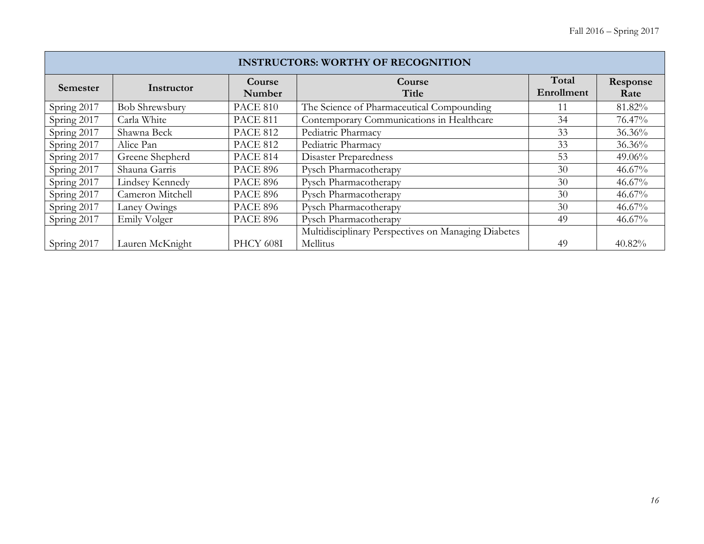| <b>INSTRUCTORS: WORTHY OF RECOGNITION</b> |                       |                  |                                                     |                     |                  |  |  |
|-------------------------------------------|-----------------------|------------------|-----------------------------------------------------|---------------------|------------------|--|--|
| Semester                                  | Instructor            | Course<br>Number | Course<br>Title                                     | Total<br>Enrollment | Response<br>Rate |  |  |
| Spring 2017                               | <b>Bob Shrewsbury</b> | <b>PACE 810</b>  | The Science of Pharmaceutical Compounding           | 11                  | 81.82%           |  |  |
| Spring 2017                               | Carla White           | <b>PACE 811</b>  | Contemporary Communications in Healthcare           | 34                  | 76.47%           |  |  |
| Spring 2017                               | Shawna Beck           | <b>PACE 812</b>  | Pediatric Pharmacy                                  | 33                  | 36.36%           |  |  |
| Spring 2017                               | Alice Pan             | <b>PACE 812</b>  | Pediatric Pharmacy                                  | 33                  | 36.36%           |  |  |
| Spring 2017                               | Greene Shepherd       | PACE 814         | Disaster Preparedness                               | 53                  | 49.06%           |  |  |
| Spring 2017                               | Shauna Garris         | <b>PACE 896</b>  | Pysch Pharmacotherapy                               | 30                  | $46.67\%$        |  |  |
| Spring 2017                               | Lindsey Kennedy       | <b>PACE 896</b>  | Pysch Pharmacotherapy                               | 30                  | $46.67\%$        |  |  |
| Spring 2017                               | Cameron Mitchell      | <b>PACE 896</b>  | Pysch Pharmacotherapy                               | 30                  | 46.67%           |  |  |
| Spring 2017                               | Laney Owings          | <b>PACE 896</b>  | Pysch Pharmacotherapy                               | 30                  | $46.67\%$        |  |  |
| Spring 2017                               | Emily Volger          | <b>PACE 896</b>  | Pysch Pharmacotherapy                               | 49                  | $46.67\%$        |  |  |
|                                           |                       |                  | Multidisciplinary Perspectives on Managing Diabetes |                     |                  |  |  |
| Spring 2017                               | Lauren McKnight       | PHCY 608I        | Mellitus                                            | 49                  | 40.82%           |  |  |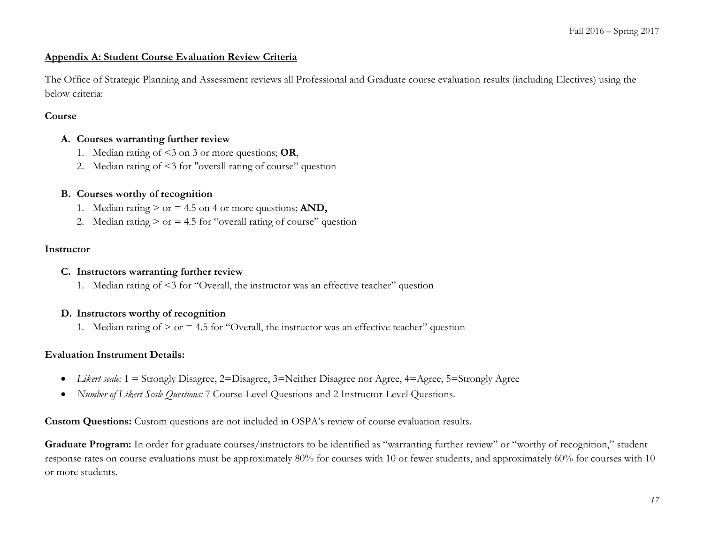#### **Appendix A: Student Course Evaluation Review Criteria**

The Office of Strategic Planning and Assessment reviews all Professional and Graduate course evaluation results (including Electives) using the below criteria:

#### **Course**

#### **A. Courses warranting further review**

- 1. Median rating of <3 on 3 or more questions; **OR**,
- 2. Median rating of <3 for "overall rating of course" question

#### **B. Courses worthy of recognition**

- 1. Median rating  $>$  or  $=$  4.5 on 4 or more questions; AND,
- 2. Median rating  $>$  or  $=$  4.5 for "overall rating of course" question

#### **Instructor**

#### **C. Instructors warranting further review**

1. Median rating of <3 for "Overall, the instructor was an effective teacher" question

#### **D. Instructors worthy of recognition**

1. Median rating of  $>$  or  $=$  4.5 for "Overall, the instructor was an effective teacher" question

#### **Evaluation Instrument Details:**

- *Likert scale:* 1 = Strongly Disagree, 2=Disagree, 3=Neither Disagree nor Agree, 4=Agree, 5=Strongly Agree
- *Number of Likert Scale Questions:* 7 Course-Level Questions and 2 Instructor-Level Questions.

**Custom Questions:** Custom questions are not included in OSPA's review of course evaluation results.

Graduate Program: In order for graduate courses/instructors to be identified as "warranting further review" or "worthy of recognition," student response rates on course evaluations must be approximately 80% for courses with 10 or fewer students, and approximately 60% for courses with 10 or more students.